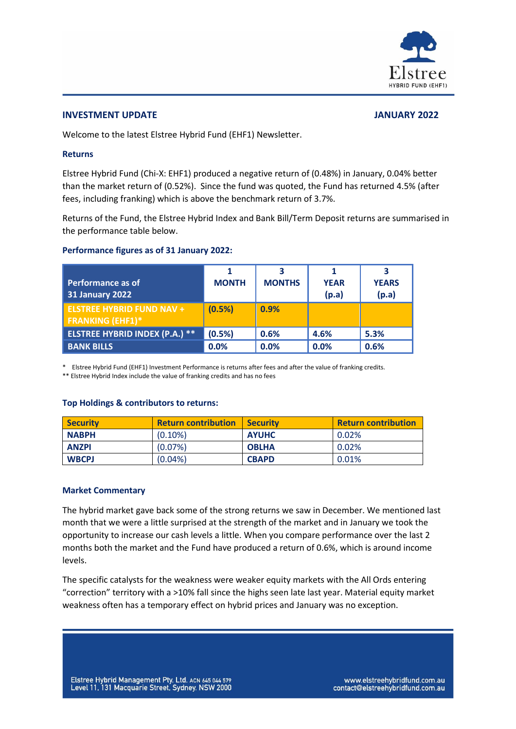

#### **INVESTMENT UPDATE JANUARY 2022**

Welcome to the latest Elstree Hybrid Fund (EHF1) Newsletter.

## **Returns**

Elstree Hybrid Fund (Chi-X: EHF1) produced a negative return of (0.48%) in January, 0.04% better than the market return of (0.52%). Since the fund was quoted, the Fund has returned 4.5% (after fees, including franking) which is above the benchmark return of 3.7%.

Returns of the Fund, the Elstree Hybrid Index and Bank Bill/Term Deposit returns are summarised in the performance table below.

## **Performance figures as of 31 January 2022:**

| Performance as of<br><b>31 January 2022</b>                 | <b>MONTH</b> | ર<br><b>MONTHS</b> | <b>YEAR</b><br>(p.a) | <b>YEARS</b><br>(p.a) |
|-------------------------------------------------------------|--------------|--------------------|----------------------|-----------------------|
| <b>ELSTREE HYBRID FUND NAV +</b><br><b>FRANKING (EHF1)*</b> | (0.5%)       | 0.9%               |                      |                       |
| <b>ELSTREE HYBRID INDEX (P.A.) **</b>                       | (0.5%)       | 0.6%               | 4.6%                 | 5.3%                  |
| <b>BANK BILLS</b>                                           | 0.0%         | 0.0%               | 0.0%                 | 0.6%                  |

\* Elstree Hybrid Fund (EHF1) Investment Performance is returns after fees and after the value of franking credits.

\*\* Elstree Hybrid Index include the value of franking credits and has no fees

## **Top Holdings & contributors to returns:**

| <b>Security</b> | <b>Return contribution</b> | <b>Security</b> | <b>Return contribution</b> |
|-----------------|----------------------------|-----------------|----------------------------|
| <b>NABPH</b>    | $(0.10\%)$                 | <b>AYUHC</b>    | 0.02%                      |
| <b>ANZPI</b>    | $(0.07\%)$                 | <b>OBLHA</b>    | 0.02%                      |
| <b>WBCPJ</b>    | $(0.04\%)$                 | <b>CBAPD</b>    | 0.01%                      |

## **Market Commentary**

The hybrid market gave back some of the strong returns we saw in December. We mentioned last month that we were a little surprised at the strength of the market and in January we took the opportunity to increase our cash levels a little. When you compare performance over the last 2 months both the market and the Fund have produced a return of 0.6%, which is around income levels.

The specific catalysts for the weakness were weaker equity markets with the All Ords entering "correction" territory with a >10% fall since the highs seen late last year. Material equity market weakness often has a temporary effect on hybrid prices and January was no exception.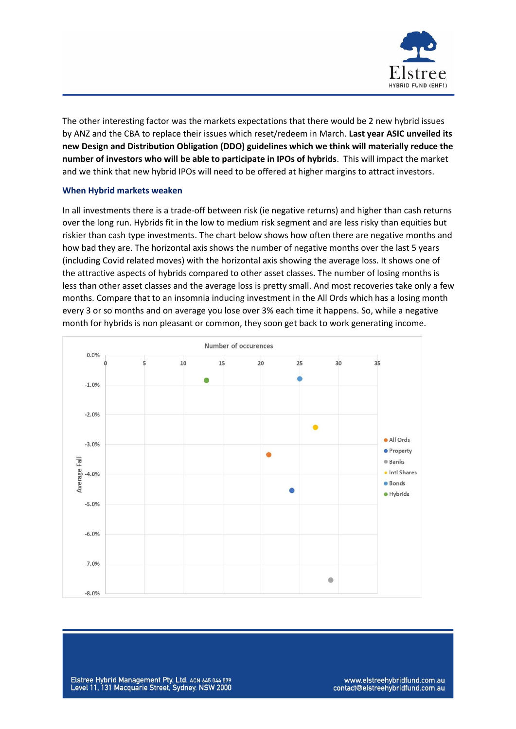

The other interesting factor was the markets expectations that there would be 2 new hybrid issues by ANZ and the CBA to replace their issues which reset/redeem in March. **Last year ASIC unveiled its new Design and Distribution Obligation (DDO) guidelines which we think will materially reduce the number of investors who will be able to participate in IPOs of hybrids**. This will impact the market and we think that new hybrid IPOs will need to be offered at higher margins to attract investors.

#### **When Hybrid markets weaken**

In all investments there is a trade-off between risk (ie negative returns) and higher than cash returns over the long run. Hybrids fit in the low to medium risk segment and are less risky than equities but riskier than cash type investments. The chart below shows how often there are negative months and how bad they are. The horizontal axis shows the number of negative months over the last 5 years (including Covid related moves) with the horizontal axis showing the average loss. It shows one of the attractive aspects of hybrids compared to other asset classes. The number of losing months is less than other asset classes and the average loss is pretty small. And most recoveries take only a few months. Compare that to an insomnia inducing investment in the All Ords which has a losing month every 3 or so months and on average you lose over 3% each time it happens. So, while a negative month for hybrids is non pleasant or common, they soon get back to work generating income.



www.elstreehybridfund.com.au contact@elstreehybridfund.com.au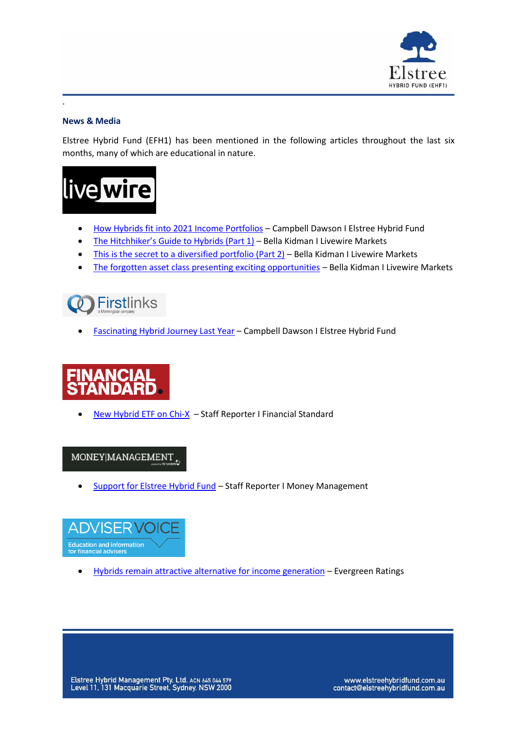

# **News & Media**

.

Elstree Hybrid Fund (EFH1) has been mentioned in the following articles throughout the last six months, many of which are educational in nature.



- [How Hybrids fit into 2021 Income Portfolios](https://www.livewiremarkets.com/wires/how-hybrids-fit-into-2021-income-portfolios) Campbell Dawson I Elstree Hybrid Fund
- [The Hitchhiker's Guide to Hybrids \(Part 1\)](https://www.livewiremarkets.com/wires/the-hitchhiker-s-guide-to-hybrids) Bella Kidman I Livewire Markets
- [This is the secret to a diversified portfolio \(Part 2\)](https://www.livewiremarkets.com/wires/this-is-the-secret-to-a-diversified-portfolio) Bella Kidman I Livewire Markets
- [The forgotten asset class presenting exciting opportunities](https://www.livewiremarkets.com/wires/the-forgotten-asset-class-presenting-exciting-opportunities) Bella Kidman I Livewire Markets



• [Fascinating Hybrid Journey Last Year](https://www.firstlinks.com.au/fascinating-hybrid-journey-last-year) – Campbell Dawson I Elstree Hybrid Fund



• [New Hybrid ETF on Chi-X](https://www.financialstandard.com.au/news/new-hybrids-etf-on-chi-x-178983920) – Staff Reporter I Financial Standard

MONEY|MANAGEMENT

• [Support for Elstree Hybrid Fund](https://www.moneymanagement.com.au/news/funds-management/support-elstree-hybrid-fund) – Staff Reporter I Money Management



• [Hybrids remain attractive alternative for income generation](https://www.adviservoice.com.au/2021/06/hybrids-remain-attractive-alternative-for-income-generation/) - Evergreen Ratings

Elstree Hybrid Management Pty. Ltd. ACN 645 044 579<br>Level 11, 131 Macquarie Street, Sydney. NSW 2000

www.elstreehybridfund.com.au contact@elstreehybridfund.com.au